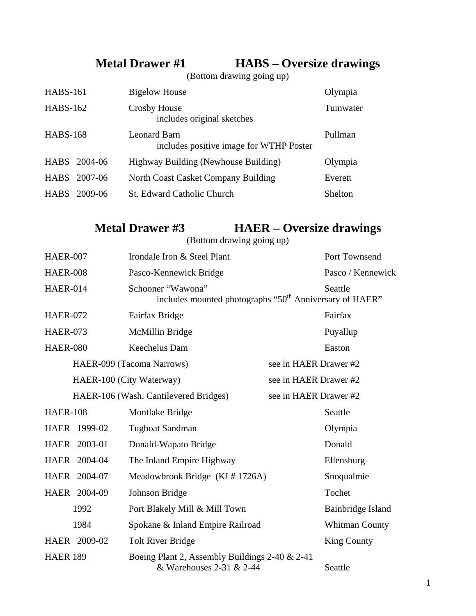## **Metal Drawer #1 HABS – Oversize drawings**

(Bottom drawing going up)

| <b>HABS-161</b> |              | <b>Bigelow House</b>                                    | Olympia  |
|-----------------|--------------|---------------------------------------------------------|----------|
| <b>HABS-162</b> |              | Crosby House<br>includes original sketches              | Tumwater |
| <b>HABS-168</b> |              | Leonard Barn<br>includes positive image for WTHP Poster | Pullman  |
|                 | HABS 2004-06 | Highway Building (Newhouse Building)                    | Olympia  |
|                 | HABS 2007-06 | North Coast Casket Company Building                     | Everett  |
|                 | HABS 2009-06 | <b>St. Edward Catholic Church</b>                       | Shelton  |

## **Metal Drawer #3 HAER – Oversize drawings**

(Bottom drawing going up)

| <b>HAER-007</b> |                                                    | Irondale Iron & Steel Plant                                                              |                       | Port Townsend      |
|-----------------|----------------------------------------------------|------------------------------------------------------------------------------------------|-----------------------|--------------------|
| <b>HAER-008</b> |                                                    | Pasco-Kennewick Bridge                                                                   |                       | Pasco / Kennewick  |
| <b>HAER-014</b> |                                                    | Schooner "Wawona"<br>includes mounted photographs "50 <sup>th</sup> Anniversary of HAER" |                       | Seattle            |
| <b>HAER-072</b> |                                                    | Fairfax Bridge                                                                           |                       | Fairfax            |
| <b>HAER-073</b> |                                                    | McMillin Bridge                                                                          |                       | Puyallup           |
| <b>HAER-080</b> |                                                    | Keechelus Dam                                                                            |                       | Easton             |
|                 | see in HAER Drawer #2<br>HAER-099 (Tacoma Narrows) |                                                                                          |                       |                    |
|                 | HAER-100 (City Waterway)<br>see in HAER Drawer #2  |                                                                                          |                       |                    |
|                 |                                                    | HAER-106 (Wash. Cantilevered Bridges)                                                    | see in HAER Drawer #2 |                    |
| <b>HAER-108</b> |                                                    | Montlake Bridge                                                                          |                       | Seattle            |
| HAER 1999-02    |                                                    | Tugboat Sandman                                                                          |                       | Olympia            |
| HAER 2003-01    |                                                    | Donald-Wapato Bridge                                                                     |                       | Donald             |
| HAER 2004-04    |                                                    | The Inland Empire Highway                                                                |                       | Ellensburg         |
| HAER 2004-07    |                                                    | Meadowbrook Bridge $(KI \# 1726A)$                                                       |                       | Snoqualmie         |
| HAER 2004-09    |                                                    | Johnson Bridge                                                                           |                       | Tochet             |
|                 | 1992                                               | Port Blakely Mill & Mill Town                                                            |                       | Bainbridge Island  |
|                 | 1984                                               | Spokane & Inland Empire Railroad                                                         |                       | Whitman County     |
| HAER 2009-02    |                                                    | <b>Tolt River Bridge</b>                                                                 |                       | <b>King County</b> |
| <b>HAER 189</b> |                                                    | Boeing Plant 2, Assembly Buildings 2-40 & 2-41<br>& Warehouses 2-31 & 2-44               |                       | Seattle            |